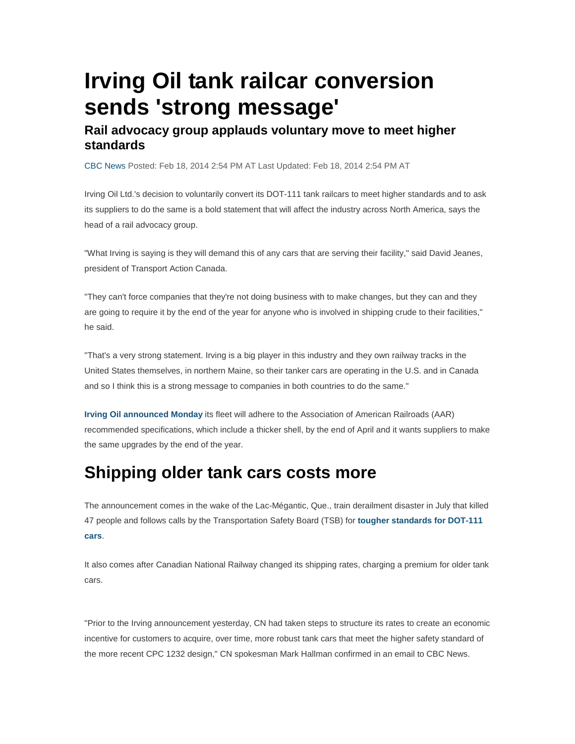## **Irving Oil tank railcar conversion sends 'strong message'**

## **Rail advocacy group applauds voluntary move to meet higher standards**

CBC News Posted: Feb 18, 2014 2:54 PM AT Last Updated: Feb 18, 2014 2:54 PM AT

Irving Oil Ltd.'s decision to voluntarily convert its DOT-111 tank railcars to meet higher standards and to ask its suppliers to do the same is a bold statement that will affect the industry across North America, says the head of a rail advocacy group.

"What Irving is saying is they will demand this of any cars that are serving their facility," said David Jeanes, president of Transport Action Canada.

"They can't force companies that they're not doing business with to make changes, but they can and they are going to require it by the end of the year for anyone who is involved in shipping crude to their facilities," he said.

"That's a very strong statement. Irving is a big player in this industry and they own railway tracks in the United States themselves, in northern Maine, so their tanker cars are operating in the U.S. and in Canada and so I think this is a strong message to companies in both countries to do the same."

**Irving Oil announced Monday** its fleet will adhere to the Association of American Railroads (AAR) recommended specifications, which include a thicker shell, by the end of April and it wants suppliers to make the same upgrades by the end of the year.

## **Shipping older tank cars costs more**

The announcement comes in the wake of the Lac-Mégantic, Que., train derailment disaster in July that killed 47 people and follows calls by the Transportation Safety Board (TSB) for **tougher standards for DOT-111 cars**.

It also comes after Canadian National Railway changed its shipping rates, charging a premium for older tank cars.

"Prior to the Irving announcement yesterday, CN had taken steps to structure its rates to create an economic incentive for customers to acquire, over time, more robust tank cars that meet the higher safety standard of the more recent CPC 1232 design," CN spokesman Mark Hallman confirmed in an email to CBC News.